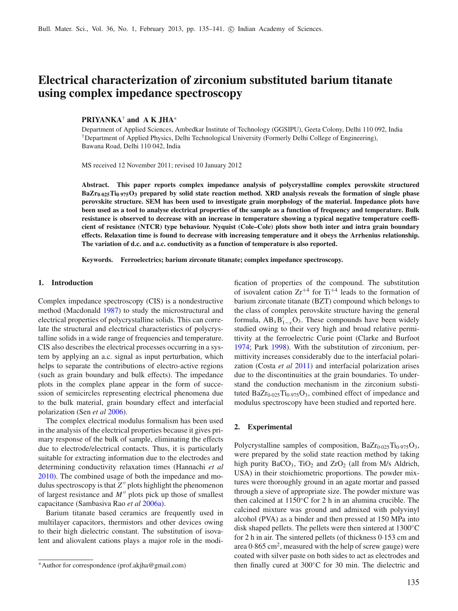# **Electrical characterization of zirconium substituted barium titanate using complex impedance spectroscopy**

# **PRIYANKA**† **and A K JHA**<sup>∗</sup>

Department of Applied Sciences, Ambedkar Institute of Technology (GGSIPU), Geeta Colony, Delhi 110 092, India †Department of Applied Physics, Delhi Technological University (Formerly Delhi College of Engineering), Bawana Road, Delhi 110 042, India

MS received 12 November 2011; revised 10 January 2012

**Abstract. This paper reports complex impedance analysis of polycrystalline complex perovskite structured BaZr0**·**025Ti0**·**975O3 prepared by solid state reaction method. XRD analysis reveals the formation of single phase perovskite structure. SEM has been used to investigate grain morphology of the material. Impedance plots have been used as a tool to analyse electrical properties of the sample as a function of frequency and temperature. Bulk resistance is observed to decrease with an increase in temperature showing a typical negative temperature coefficient of resistance (NTCR) type behaviour. Nyquist (Cole–Cole) plots show both inter and intra grain boundary effects. Relaxation time is found to decrease with increasing temperature and it obeys the Arrhenius relationship. The variation of d.c. and a.c. conductivity as a function of temperature is also reported.**

**Keywords. Ferroelectrics; barium zirconate titanate; complex impedance spectroscopy.**

# **1. Introduction**

Complex impedance spectroscopy (CIS) is a nondestructive method (Macdonal[d](#page-6-0) [1987](#page-6-0)) to study the microstructural and electrical properties of polycrystalline solids. This can correlate the structural and electrical characteristics of polycrystalline solids in a wide range of frequencies and temperature. CIS also describes the electrical processes occurring in a system by applying an a.c. signal as input perturbation, which helps to separate the contributions of electro-active regions (such as grain boundary and bulk effects). The impedance plots in the complex plane appear in the form of succession of semicircles representing electrical phenomena due to the bulk material, grain boundary effect and interfacial polarization (Sen *et a[l](#page-6-1)* [2006](#page-6-1)).

The complex electrical modulus formalism has been used in the analysis of the electrical properties because it gives primary response of the bulk of sample, eliminating the effects due to electrode/electrical contacts. Thus, it is particularly suitable for extracting information due to the electrodes and determining conductivity relaxation times (Hannachi *et a[l](#page-6-2)* [2010\)](#page-6-2). The combined usage of both the impedance and modulus spectroscopy is that  $Z''$  plots highlight the phenomenon of largest resistance and  $M''$  plots pick up those of smallest capacitance (Sambasiva Rao *et a[l](#page-6-3)* [2006a\)](#page-6-3).

Barium titanate based ceramics are frequently used in multilayer capacitors, thermistors and other devices owing to their high dielectric constant. The substitution of isovalent and aliovalent cations plays a major role in the modification of properties of the compound. The substitution of isovalent cation  $Zr^{+4}$  for  $Ti^{+4}$  leads to the formation of barium zirconate titanate (BZT) compound which belongs to the class of complex perovskite structure having the general formula,  $AB_xB'_{1-x}O_3$ . These compounds have been widely studied owing to their very high and broad relative permittivity at the ferroelectric Curie point (Clarke and Burfoo[t](#page-6-4) [1974;](#page-6-4) Par[k](#page-6-5) [1998\)](#page-6-5). With the substitution of zirconium, permittivity increases considerably due to the interfacial polarization (Costa *et a[l](#page-6-6)* [2011\)](#page-6-6) and interfacial polarization arises due to the discontinuities at the grain boundaries. To understand the conduction mechanism in the zirconium substituted  $BaZr_{0.025}Ti_{0.975}O_3$ , combined effect of impedance and modulus spectroscopy have been studied and reported here.

### **2. Experimental**

Polycrystalline samples of composition,  $BaZr_{0.025}Ti_{0.975}O_3$ , were prepared by the solid state reaction method by taking high purity  $BaCO<sub>3</sub>$ , TiO<sub>2</sub> and ZrO<sub>2</sub> (all from M/s Aldrich, USA) in their stoichiometric proportions. The powder mixtures were thoroughly ground in an agate mortar and passed through a sieve of appropriate size. The powder mixture was then calcined at 1150◦C for 2 h in an alumina crucible. The calcined mixture was ground and admixed with polyvinyl alcohol (PVA) as a binder and then pressed at 150 MPa into disk shaped pellets. The pellets were then sintered at 1300◦C for 2 h in air. The sintered pellets (of thickness 0·153 cm and area  $0.865$  cm<sup>2</sup>, measured with the help of screw gauge) were coated with silver paste on both sides to act as electrodes and then finally cured at 300◦C for 30 min. The dielectric and

<sup>∗</sup>Author for correspondence (prof.akjha@gmail.com)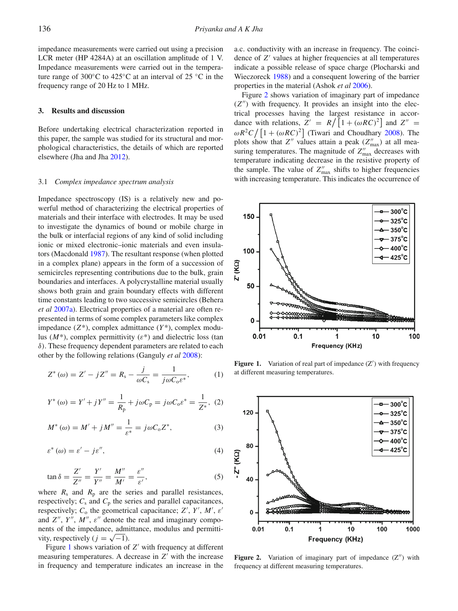impedance measurements were carried out using a precision LCR meter (HP 4284A) at an oscillation amplitude of 1 V. Impedance measurements were carried out in the temperature range of 300◦C to 425◦C at an interval of 25 ◦C in the frequency range of 20 Hz to 1 MHz.

## **3. Results and discussion**

Before undertaking electrical characterization reported in this paper, the sample was studied for its structural and morphological characteristics, the details of which are reported elsewhere (Jha and Jh[a](#page-6-7) [2012](#page-6-7)).

#### 3.1 *Complex impedance spectrum analysis*

Impedance spectroscopy (IS) is a relatively new and powerful method of characterizing the electrical properties of materials and their interface with electrodes. It may be used to investigate the dynamics of bound or mobile charge in the bulk or interfacial regions of any kind of solid including ionic or mixed electronic–ionic materials and even insulators (Macdonal[d](#page-6-0) [1987\)](#page-6-0). The resultant response (when plotted in a complex plane) appears in the form of a succession of semicircles representing contributions due to the bulk, grain boundaries and interfaces. A polycrystalline material usually shows both grain and grain boundary effects with different time constants leading to two successive semicircles (Behera *et a[l](#page-6-8)* [2007a\)](#page-6-8). Electrical properties of a material are often represented in terms of some complex parameters like complex impedance  $(Z^*)$ , complex admittance  $(Y^*)$ , complex modulus  $(M^*)$ , complex permittivity  $(\varepsilon^*)$  and dielectric loss (tan δ). These frequency dependent parameters are related to each other by the following relations (Ganguly *et a[l](#page-6-9)* [2008](#page-6-9)):

$$
Z^*(\omega) = Z' - jZ'' = R_s - \frac{j}{\omega C_s} = \frac{1}{j\omega C_0 \varepsilon^*},
$$
 (1)

$$
Y^*(\omega) = Y' + jY'' = \frac{1}{R_p} + j\omega C_p = j\omega C_0 \varepsilon^* = \frac{1}{Z^*}, \tag{2}
$$

<span id="page-1-2"></span>
$$
M^*(\omega) = M' + jM'' = \frac{1}{\varepsilon^*} = j\omega C_0 Z^*,
$$
 (3)

$$
\varepsilon^*(\omega) = \varepsilon' - j\varepsilon'',\tag{4}
$$

$$
\tan \delta = \frac{Z'}{Z''} = \frac{Y'}{Y''} = \frac{M''}{M'} = \frac{\varepsilon''}{\varepsilon'},
$$
\n(5)

where  $R_s$  and  $R_p$  are the series and parallel resistances, respectively;  $C_s$  and  $C_p$  the series and parallel capacitances, respectively;  $C_0$  the geometrical capacitance;  $Z'$ ,  $Y'$ ,  $M'$ ,  $\varepsilon'$ and  $Z''$ ,  $Y''$ ,  $M''$ ,  $\varepsilon''$  denote the real and imaginary components of the impedance, admittance, modulus and permittivity, respectively ( $j = \sqrt{-1}$ ).

Figure [1](#page-1-0) shows variation of  $Z'$  with frequency at different measuring temperatures. A decrease in  $Z'$  with the increase in frequency and temperature indicates an increase in the

a.c. conductivity with an increase in frequency. The coincidence of *Z'* values at higher frequencies at all temperatures indicate a possible release of space charge (Plocharski and Wieczorec[k](#page-6-10) [1988\)](#page-6-10) and a consequent lowering of the barrier properties in the material (Ashok *et a[l](#page-6-11)* [2006\)](#page-6-11).

Figure [2](#page-1-1) shows variation of imaginary part of impedance  $(Z'')$  with frequency. It provides an insight into the electrical processes having the largest resistance in accordance with relations,  $Z' = R / [1 + (\omega RC)^2]$  and  $Z'' =$  $\omega R^2 C / [1 + (\omega RC)^2]$  (Tiwari and Choudhar[y](#page-6-12) [2008](#page-6-12)). The plots show that  $Z''$  values attain a peak  $(Z''_{\text{max}})$  at all measuring temperatures. The magnitude of  $Z''_{\text{max}}$  decreases with temperature indicating decrease in the resistive property of the sample. The value of  $Z''_{\text{max}}$  shifts to higher frequencies with increasing temperature. This indicates the occurrence of

<span id="page-1-0"></span>

Figure 1. Variation of real part of impedance (Z') with frequency at different measuring temperatures.

<span id="page-1-1"></span>

**Figure 2.** Variation of imaginary part of impedance  $(Z'')$  with frequency at different measuring temperatures.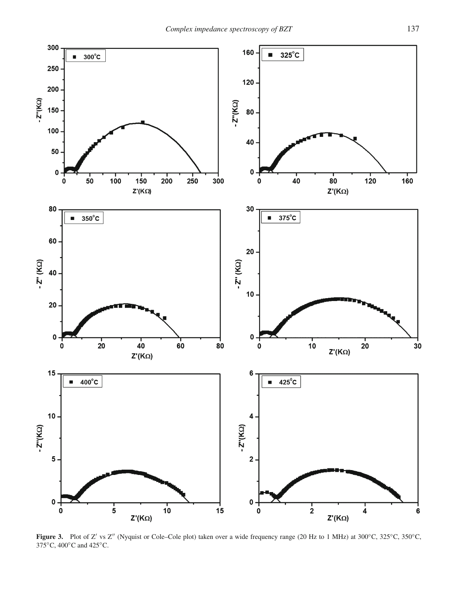<span id="page-2-0"></span>

Figure 3. Plot of Z' vs Z" (Nyquist or Cole–Cole plot) taken over a wide frequency range (20 Hz to 1 MHz) at 300°C, 325°C, 350°C, 375◦C, 400◦C and 425◦C.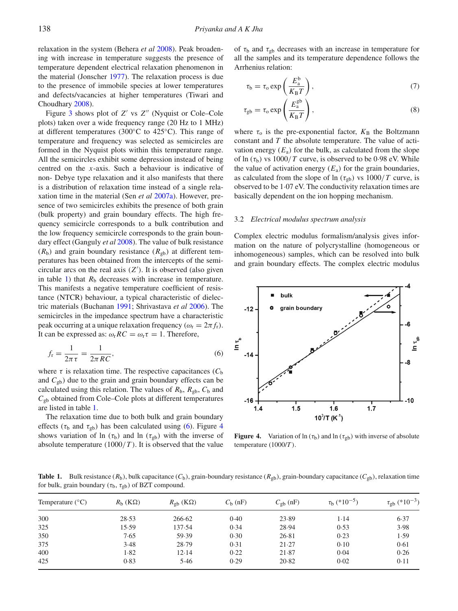relaxation in the system (Behera *et a[l](#page-6-13)* [2008](#page-6-13)). Peak broadening with increase in temperature suggests the presence of temperature dependent electrical relaxation phenomenon in the material (Jonsche[r](#page-6-14) [1977](#page-6-14)). The relaxation process is due to the presence of immobile species at lower temperatures and defects/vacancies at higher temperatures (Tiwari and Choudhar[y](#page-6-12) [2008](#page-6-12)).

Figure [3](#page-2-0) shows plot of *Z'* vs *Z''* (Nyquist or Cole–Cole plots) taken over a wide frequency range (20 Hz to 1 MHz) at different temperatures (300◦C to 425◦C). This range of temperature and frequency was selected as semicircles are formed in the Nyquist plots within this temperature range. All the semicircles exhibit some depression instead of being centred on the *x*-axis. Such a behaviour is indicative of non- Debye type relaxation and it also manifests that there is a distribution of relaxation time instead of a single relaxation time in the material (Sen *et a[l](#page-6-15)* [2007a](#page-6-15)). However, presence of two semicircles exhibits the presence of both grain (bulk property) and grain boundary effects. The high frequency semicircle corresponds to a bulk contribution and the low frequency semicircle corresponds to the grain boundary effect (Ganguly *et a[l](#page-6-9)* [2008\)](#page-6-9). The value of bulk resistance  $(R_b)$  and grain boundary resistance  $(R_{gb})$  at different temperatures has been obtained from the intercepts of the semicircular arcs on the real axis  $(Z')$ . It is observed (also given in table [1\)](#page-3-0) that  $R<sub>b</sub>$  decreases with increase in temperature. This manifests a negative temperature coefficient of resistance (NTCR) behaviour, a typical characteristic of dielectric materials (Buchana[n](#page-6-16) [1991](#page-6-16); Shrivastava *et a[l](#page-6-17)* [2006](#page-6-17)). The semicircles in the impedance spectrum have a characteristic peak occurring at a unique relaxation frequency ( $\omega_r = 2\pi f_r$ ). It can be expressed as:  $\omega_r RC = \omega_r \tau = 1$ . Therefore,

$$
f_{\rm r} = \frac{1}{2\pi\,\tau} = \frac{1}{2\pi\,RC},\tag{6}
$$

where  $\tau$  is relaxation time. The respective capacitances ( $C<sub>b</sub>$ and  $C_{gb}$ ) due to the grain and grain boundary effects can be calculated using this relation. The values of  $R_b$ ,  $R_{gb}$ ,  $C_b$  and  $C<sub>gb</sub>$  obtained from Cole–Cole plots at different temperatures are listed in table [1.](#page-3-0)

The relaxation time due to both bulk and grain boundary effects ( $\tau_b$  and  $\tau_{gb}$ ) has been calculated using [\(6\)](#page-3-1). Figure [4](#page-3-2) shows variation of ln ( $\tau_b$ ) and ln ( $\tau_{gb}$ ) with the inverse of absolute temperature  $(1000/T)$ . It is observed that the value of  $\tau_b$  and  $\tau_{gb}$  decreases with an increase in temperature for all the samples and its temperature dependence follows the Arrhenius relation:

$$
\tau_{\rm b} = \tau_{\rm o} \exp\left(\frac{E_{\rm a}^{\rm b}}{K_{\rm B}T}\right),\tag{7}
$$

$$
\tau_{\text{gb}} = \tau_{\text{o}} \exp\left(\frac{E_{\text{a}}^{\text{gb}}}{K_{\text{B}}T}\right),\tag{8}
$$

where  $\tau_0$  is the pre-exponential factor,  $K_B$  the Boltzmann constant and *T* the absolute temperature. The value of activation energy  $(E_a)$  for the bulk, as calculated from the slope of ln  $(\tau_b)$  vs 1000/*T* curve, is observed to be 0.98 eV. While the value of activation energy  $(E_a)$  for the grain boundaries, as calculated from the slope of ln ( $\tau_{gb}$ ) vs 1000/*T* curve, is observed to be 1·07 eV. The conductivity relaxation times are basically dependent on the ion hopping mechanism.

#### 3.2 *Electrical modulus spectrum analysis*

Complex electric modulus formalism/analysis gives information on the nature of polycrystalline (homogeneous or inhomogeneous) samples, which can be resolved into bulk and grain boundary effects. The complex electric modulus

<span id="page-3-2"></span><span id="page-3-1"></span>

**Figure 4.** Variation of  $\ln(\tau_b)$  and  $\ln(\tau_{gb})$  with inverse of absolute temperature (1000/*T* ).

<span id="page-3-0"></span>**Table 1.** Bulk resistance  $(R_b)$ , bulk capacitance  $(C_b)$ , grain-boundary resistance  $(R_{gb})$ , grain-boundary capacitance  $(C_{gb})$ , relaxation time for bulk, grain boundary ( $\tau_b$ ,  $\tau_{gb}$ ) of BZT compound.

| Temperature $(^{\circ}C)$ | $R_{\rm b}$ (K $\Omega$ ) | $R_{\text{gb}}\left(\text{K}\Omega\right)$ | $C_{\rm b}$ (nF) | $C_{\text{gb}}$ (nF) | $\tau_b$ (*10 <sup>-5</sup> ) | $\tau_{\text{gb}}$ (*10 <sup>-3</sup> ) |
|---------------------------|---------------------------|--------------------------------------------|------------------|----------------------|-------------------------------|-----------------------------------------|
| 300                       | 28.53                     | 266.62                                     | 0.40             | 23.89                | 1.14                          | 6.37                                    |
| 325                       | 15.59                     | 137.54                                     | 0.34             | 28.94                | 0.53                          | 3.98                                    |
| 350                       | 7.65                      | 59.39                                      | 0.30             | 26.81                | 0.23                          | 1.59                                    |
| 375                       | 3.48                      | 28.79                                      | 0.31             | 21.27                | 0.10                          | 0.61                                    |
| 400                       | 1.82                      | 12.14                                      | 0.22             | 21.87                | 0.04                          | 0.26                                    |
| 425                       | 0.83                      | 5.46                                       | 0.29             | 20.82                | 0.02                          | 0.11                                    |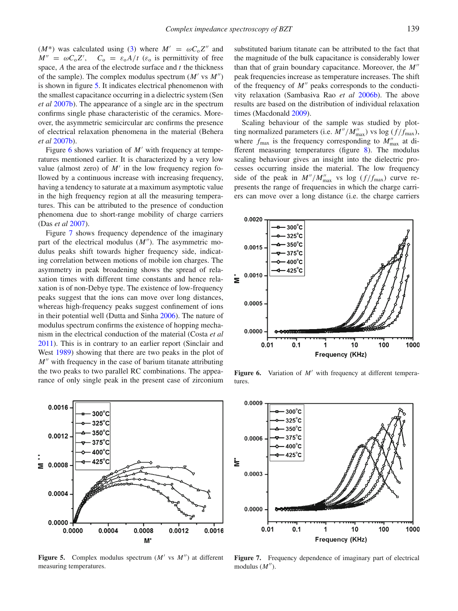( $M^*$ ) was calculated using [\(3\)](#page-1-2) where  $M' = \omega C_0 Z''$  and  $M'' = \omega C_0 Z'$ ,  $C_0 = \varepsilon_0 A/t$  ( $\varepsilon_0$  is permittivity of free space, *A* the area of the electrode surface and *t* the thickness of the sample). The complex modulus spectrum  $(M' \text{ vs } M'')$ is shown in figure [5.](#page-4-0) It indicates electrical phenomenon with the smallest capacitance occurring in a dielectric system (Sen *et a[l](#page-6-18)* [2007b\)](#page-6-18). The appearance of a single arc in the spectrum confirms single phase characteristic of the ceramics. Moreover, the asymmetric semicircular arc confirms the presence of electrical relaxation phenomena in the material (Behera *et a[l](#page-6-19)* [2007b](#page-6-19)).

Figure [6](#page-4-1) shows variation of  $M'$  with frequency at temperatures mentioned earlier. It is characterized by a very low value (almost zero) of  $M'$  in the low frequency region followed by a continuous increase with increasing frequency, having a tendency to saturate at a maximum asymptotic value in the high frequency region at all the measuring temperatures. This can be attributed to the presence of conduction phenomena due to short-range mobility of charge carriers (Das *et a[l](#page-6-20)* [2007\)](#page-6-20).

Figure [7](#page-4-2) shows frequency dependence of the imaginary part of the electrical modulus  $(M'')$ . The asymmetric modulus peaks shift towards higher frequency side, indicating correlation between motions of mobile ion charges. The asymmetry in peak broadening shows the spread of relaxation times with different time constants and hence relaxation is of non-Debye type. The existence of low-frequency peaks suggest that the ions can move over long distances, whereas high-frequency peaks suggest confinement of ions in their potential well (Dutta and Sinh[a](#page-6-21) [2006](#page-6-21)). The nature of modulus spectrum confirms the existence of hopping mechanism in the electrical conduction of the material (Costa *et a[l](#page-6-6)* [2011\)](#page-6-6). This is in contrary to an earlier report (Sinclair and Wes[t](#page-6-22)  $1989$ ) showing that there are two peaks in the plot of *M*<sup>*''*</sup> with frequency in the case of barium titanate attributing the two peaks to two parallel RC combinations. The appearance of only single peak in the present case of zirconium

<span id="page-4-0"></span>

**Figure 5.** Complex modulus spectrum  $(M'$  vs  $M'')$  at different measuring temperatures.

substituted barium titanate can be attributed to the fact that the magnitude of the bulk capacitance is considerably lower than that of grain boundary capacitance. Moreover, the *M* peak frequencies increase as temperature increases. The shift of the frequency of  $M''$  peaks corresponds to the conductivity relaxation (Sambasiva Rao *et a[l](#page-6-23)* [2006b](#page-6-23)). The above results are based on the distribution of individual relaxation times (Macdonal[d](#page-6-24) [2009](#page-6-24)).

Scaling behaviour of the sample was studied by plotting normalized parameters (i.e.  $M''/M''_{\text{max}}$ ) vs log ( $f/f_{\text{max}}$ ), where  $f_{\text{max}}$  is the frequency corresponding to  $M''_{\text{max}}$  at different measuring temperatures (figure [8\)](#page-5-0). The modulus scaling behaviour gives an insight into the dielectric processes occurring inside the material. The low frequency side of the peak in  $M''/M''_{\text{max}}$  vs log  $(f/f_{\text{max}})$  curve represents the range of frequencies in which the charge carriers can move over a long distance (i.e. the charge carriers

<span id="page-4-1"></span>

Figure 6. Variation of *M'* with frequency at different temperatures.

<span id="page-4-2"></span>

**Figure 7.** Frequency dependence of imaginary part of electrical modulus  $(M'')$ .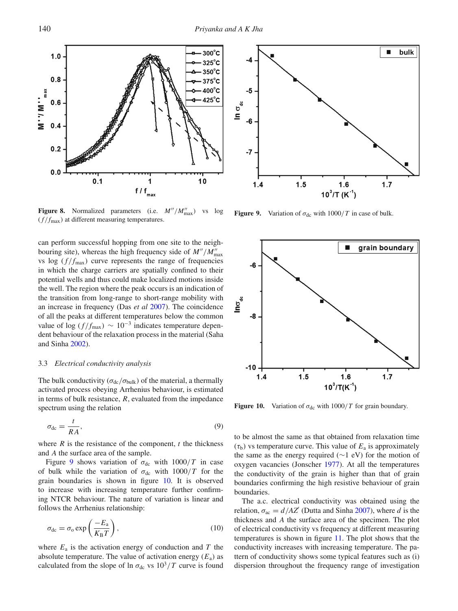<span id="page-5-0"></span>

**Figure 8.** Normalized parameters (i.e.  $M''/M''_{\text{max}}$ ) vs log  $(f/f_{\text{max}})$  at different measuring temperatures.

can perform successful hopping from one site to the neighbouring site), whereas the high frequency side of  $M''/M''_{\text{max}}$ vs log  $(f/f_{\text{max}})$  curve represents the range of frequencies in which the charge carriers are spatially confined to their potential wells and thus could make localized motions inside the well. The region where the peak occurs is an indication of the transition from long-range to short-range mobility with an increase in frequency (Das *et a[l](#page-6-20)* [2007](#page-6-20)). The coincidence of all the peaks at different temperatures below the common value of log ( $f/f_{\text{max}}$ ) ~ 10<sup>-3</sup> indicates temperature dependent behaviour of the relaxation process in the material (Saha and Sinh[a](#page-6-25) [2002\)](#page-6-25).

## 3.3 *Electrical conductivity analysis*

The bulk conductivity ( $\sigma_{dc}/\sigma_{bulk}$ ) of the material, a thermally activated process obeying Arrhenius behaviour, is estimated in terms of bulk resistance, *R*, evaluated from the impedance spectrum using the relation

$$
\sigma_{\rm dc} = \frac{t}{RA},\tag{9}
$$

where  $R$  is the resistance of the component,  $t$  the thickness and *A* the surface area of the sample.

Figure [9](#page-5-1) shows variation of  $\sigma_{dc}$  with  $1000/T$  in case of bulk while the variation of  $\sigma_{dc}$  with  $1000/T$  for the grain boundaries is shown in figure [10.](#page-5-2) It is observed to increase with increasing temperature further confirming NTCR behaviour. The nature of variation is linear and follows the Arrhenius relationship:

$$
\sigma_{\rm dc} = \sigma_{\rm o} \exp\left(\frac{-E_{\rm a}}{K_{\rm B}T}\right),\tag{10}
$$

where  $E_a$  is the activation energy of conduction and  $T$  the absolute temperature. The value of activation energy  $(E_a)$  as calculated from the slope of ln  $\sigma_{dc}$  vs  $10^3/T$  curve is found

<span id="page-5-1"></span>

**Figure 9.** Variation of  $\sigma_{dc}$  with 1000/*T* in case of bulk.

<span id="page-5-2"></span>

**Figure 10.** Variation of  $\sigma_{dc}$  with 1000/*T* for grain boundary.

to be almost the same as that obtained from relaxation time  $(\tau_b)$  vs temperature curve. This value of  $E_a$  is approximately the same as the energy required (∼1 eV) for the motion of oxygen vacancies (Jonsche[r](#page-6-14) [1977\)](#page-6-14). At all the temperatures the conductivity of the grain is higher than that of grain boundaries confirming the high resistive behaviour of grain boundaries.

The a.c. electrical conductivity was obtained using the rel[a](#page-6-26)tion,  $\sigma_{ac} = d/AZ'$  (Dutta and Sinha [2007\)](#page-6-26), where *d* is the thickness and *A* the surface area of the specimen. The plot of electrical conductivity vs frequency at different measuring temperatures is shown in figure [11.](#page-6-27) The plot shows that the conductivity increases with increasing temperature. The pattern of conductivity shows some typical features such as (i) dispersion throughout the frequency range of investigation